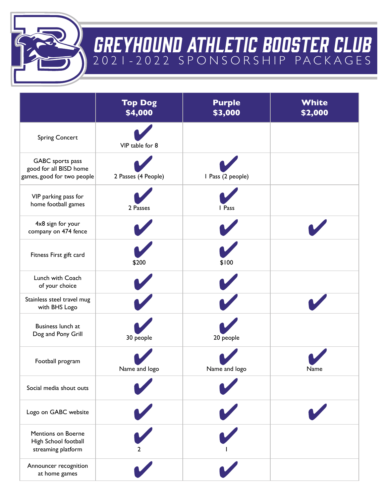

## GREYHOUND ATHLETIC BOOSTER CLUB 2021-2022 SPONSORSHIP PACKAGES

|                                                                          | <b>Top Dog</b><br>\$4,000 | <b>Purple</b><br>\$3,000 | White<br>\$2,000 |
|--------------------------------------------------------------------------|---------------------------|--------------------------|------------------|
| <b>Spring Concert</b>                                                    | VIP table for 8           |                          |                  |
| GABC sports pass<br>good for all BISD home<br>games, good for two people | 2 Passes (4 People)       | I Pass (2 people)        |                  |
| VIP parking pass for<br>home football games                              | 2 Passes                  | I Pass                   |                  |
| 4x8 sign for your<br>company on 474 fence                                |                           |                          |                  |
| Fitness First gift card                                                  | \$200                     | \$100                    |                  |
| Lunch with Coach<br>of your choice                                       |                           |                          |                  |
| Stainless steel travel mug<br>with BHS Logo                              |                           |                          |                  |
| Business lunch at<br>Dog and Pony Grill                                  | 30 people                 | 20 people                |                  |
| Football program                                                         | Name and logo             | Name and logo            | Name             |
| Social media shout outs                                                  |                           |                          |                  |
| Logo on GABC website                                                     |                           |                          |                  |
| <b>Mentions on Boerne</b><br>High School football<br>streaming platform  |                           |                          |                  |
| Announcer recognition<br>at home games                                   |                           |                          |                  |